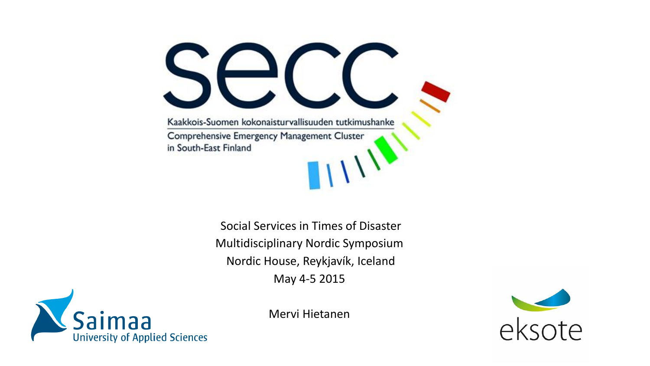Kaakkois-Suomen kokonaisturvallisuuden tutkimushanke Comprehensive Emergency Management Cluster in South-East Finland

> Social Services in Times of Disaster Multidisciplinary Nordic Symposium Nordic House, Reykjavík, Iceland May 4-5 2015



Mervi Hietanen

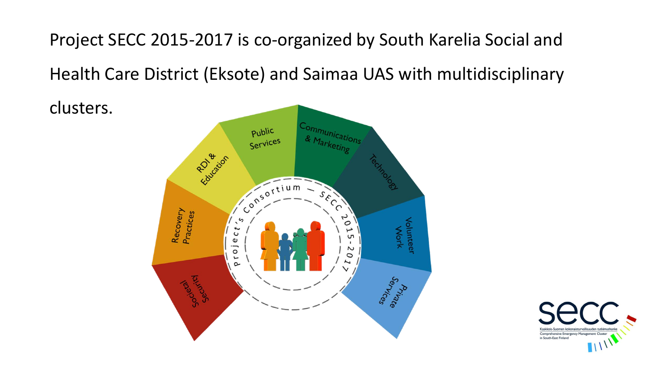Project SECC 2015-2017 is co-organized by South Karelia Social and

Health Care District (Eksote) and Saimaa UAS with multidisciplinary

clusters.



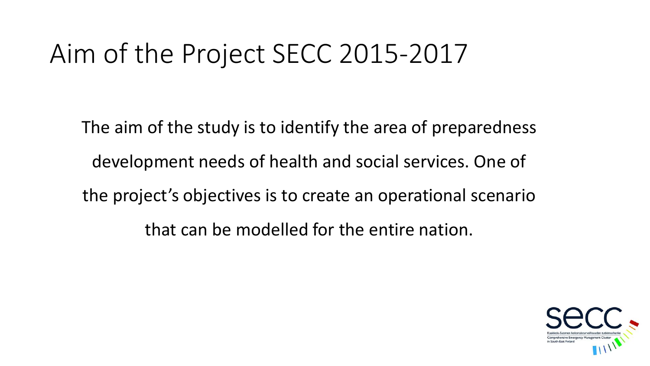## Aim of the Project SECC 2015-2017

The aim of the study is to identify the area of preparedness development needs of health and social services. One of the project's objectives is to create an operational scenario that can be modelled for the entire nation.

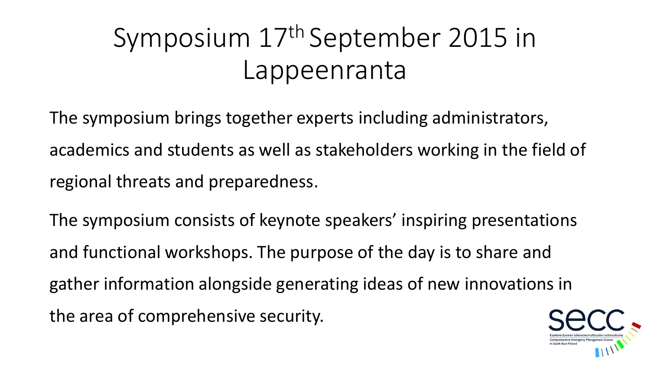# Symposium 17th September 2015 in Lappeenranta

The symposium brings together experts including administrators, academics and students as well as stakeholders working in the field of regional threats and preparedness.

The symposium consists of keynote speakers' inspiring presentations and functional workshops. The purpose of the day is to share and gather information alongside generating ideas of new innovations in the area of comprehensive security.

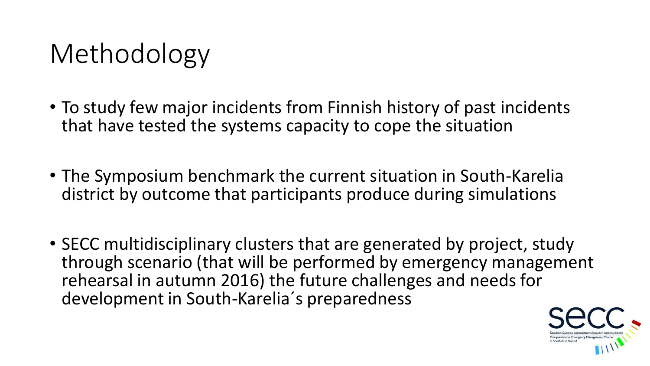## Methodology

- To study few major incidents from Finnish history of past incidents that have tested the systems capacity to cope the situation
- The Symposium benchmark the current situation in South-Karelia district by outcome that participants produce during simulations
- SECC multidisciplinary clusters that are generated by project, study through scenario (that will be performed by emergency management rehearsal in autumn 2016) the future challenges and needs for development in South-Karelia´s preparedness

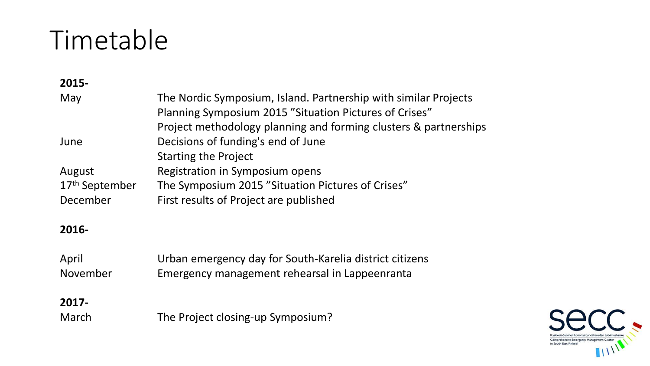### Timetable

### **2015-** May The Nordic Symposium, Island. Partnership with similar Projects Planning Symposium 2015 "Situation Pictures of Crises" Project methodology planning and forming clusters & partnerships June Decisions of funding's end of June Starting the Project August Registration in Symposium opens 17<sup>th</sup> September The Symposium 2015 "Situation Pictures of Crises" December First results of Project are published

#### **2016-**

| April    | Urban emergency day for South-Karelia district citizens |
|----------|---------------------------------------------------------|
| November | Emergency management rehearsal in Lappeenranta          |

#### **2017-**

March The Project closing-up Symposium?